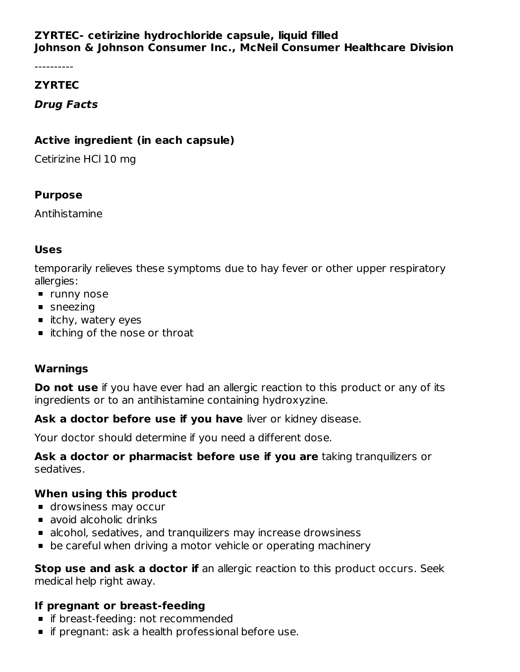## **ZYRTEC- cetirizine hydrochloride capsule, liquid filled Johnson & Johnson Consumer Inc., McNeil Consumer Healthcare Division**

----------

### **ZYRTEC**

## **Drug Facts**

### **Active ingredient (in each capsule)**

Cetirizine HCl 10 mg

## **Purpose**

Antihistamine

# **Uses**

temporarily relieves these symptoms due to hay fever or other upper respiratory allergies:

- **runny nose**
- sneezing
- $\blacksquare$  itchy, watery eyes
- **I** itching of the nose or throat

#### **Warnings**

**Do not use** if you have ever had an allergic reaction to this product or any of its ingredients or to an antihistamine containing hydroxyzine.

**Ask a doctor before use if you have** liver or kidney disease.

Your doctor should determine if you need a different dose.

**Ask a doctor or pharmacist before use if you are** taking tranquilizers or sedatives.

# **When using this product**

- **drowsiness may occur**
- avoid alcoholic drinks
- alcohol, sedatives, and tranquilizers may increase drowsiness
- **•** be careful when driving a motor vehicle or operating machinery

**Stop use and ask a doctor if** an allergic reaction to this product occurs. Seek medical help right away.

# **If pregnant or breast-feeding**

- **f** if breast-feeding: not recommended
- **if pregnant: ask a health professional before use.**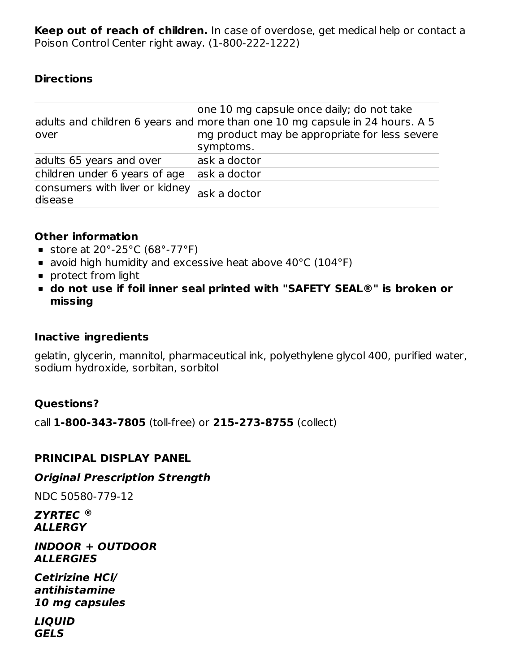**Keep out of reach of children.** In case of overdose, get medical help or contact a Poison Control Center right away. (1-800-222-1222)

#### **Directions**

| over                                      | one 10 mg capsule once daily; do not take<br>adults and children 6 years and more than one 10 mg capsule in 24 hours. A 5<br>mg product may be appropriate for less severe |
|-------------------------------------------|----------------------------------------------------------------------------------------------------------------------------------------------------------------------------|
|                                           | symptoms.                                                                                                                                                                  |
| adults 65 years and over                  | ask a doctor                                                                                                                                                               |
| children under 6 years of age             | ask a doctor                                                                                                                                                               |
| consumers with liver or kidney<br>disease | ask a doctor                                                                                                                                                               |

#### **Other information**

- store at  $20^{\circ}$ -25 $^{\circ}$ C (68 $^{\circ}$ -77 $^{\circ}$ F)
- avoid high humidity and excessive heat above 40°C (104°F)
- **protect from light**
- **do not use if foil inner seal printed with "SAFETY SEAL®" is broken or missing**

#### **Inactive ingredients**

gelatin, glycerin, mannitol, pharmaceutical ink, polyethylene glycol 400, purified water, sodium hydroxide, sorbitan, sorbitol

#### **Questions?**

call **1-800-343-7805** (toll-free) or **215-273-8755** (collect)

#### **PRINCIPAL DISPLAY PANEL**

#### **Original Prescription Strength**

NDC 50580-779-12

**ZYRTEC ®ALLERGY**

#### **INDOOR + OUTDOOR ALLERGIES**

**Cetirizine HCl/ antihistamine 10 mg capsules**

**LIQUID GELS**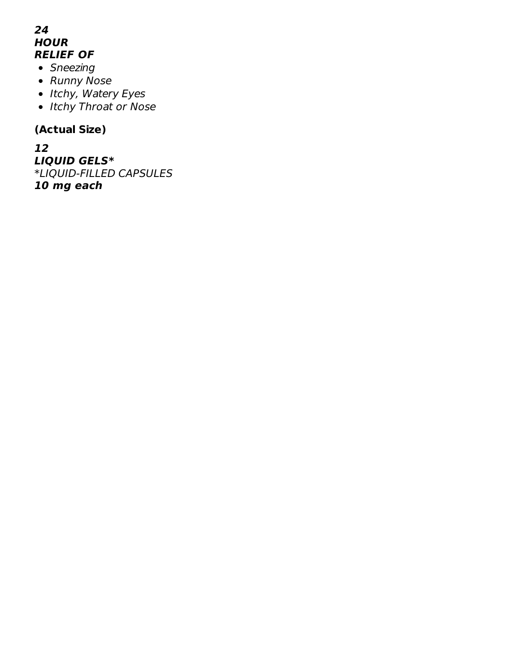## **24 HOUR RELIEF OF**

- Sneezing
- Runny Nose
- Itchy, Watery Eyes
- Itchy Throat or Nose

# **(Actual Size)**

**12 LIQUID GELS\*** \*LIQUID-FILLED CAPSULES **10 mg each**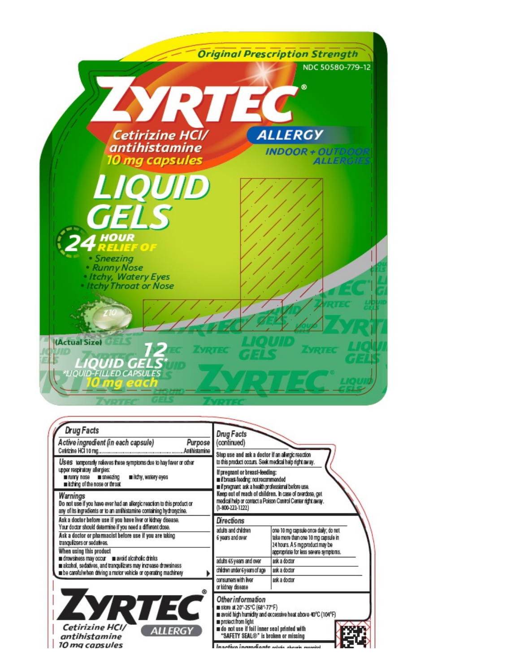

| <b>Drug Facts</b><br>Active ingredient (in each capsule)<br>Purpose<br>Anthistamine                                                                                                                                                            | <b>Drug Facts</b><br>(continued)<br>Stop use and ask a doctor if an allergic reaction                                                                                                                                                                                                                                                            |                                                             |  |
|------------------------------------------------------------------------------------------------------------------------------------------------------------------------------------------------------------------------------------------------|--------------------------------------------------------------------------------------------------------------------------------------------------------------------------------------------------------------------------------------------------------------------------------------------------------------------------------------------------|-------------------------------------------------------------|--|
| Uses temporarily relieves these symptoms due to hay fever or other<br>upper respiratory allergies:<br>in itchy, watery eyes<br>numy nose sneezing<br>mitching of the nose or throat                                                            | to this product occurs. Seek medical help right away.<br>If pregnant or breast-feeding:<br>iii if breast-feeding: not recommended<br><b>In if pregnant ask a health professional before use.</b><br>Keep out of reach of children. In case of overdose, get<br>medical help or contact a Poison Control Center right away.<br>$(1-800-222-1222)$ |                                                             |  |
| Warnings<br>Do not use if you have ever had an allergic reaction to this product or<br>any of its ingredients or to an antihistamine containing hydroxyzine.                                                                                   |                                                                                                                                                                                                                                                                                                                                                  |                                                             |  |
| Ask a doctor before use if you have liver or kidney disease.<br>Your doctor should determine if you need a different dose.<br>Ask a doctor or pharmacist before use if you are taking<br>tranguilizers or sedaives.<br>When using this product | Directions<br>adults and children<br>one 10 mg capsule once daily; do not<br>take more than one 10 mg capsule in<br>6 years and over<br>24 hours. A 5 mg product may be<br>appropriate for less severe symptoms.                                                                                                                                 |                                                             |  |
| drowsiness may occur as avoid alcoholic drinks<br>a alcohol, sedatives, and tranquilizers may increase drowsiness                                                                                                                              | adults 65 years and over                                                                                                                                                                                                                                                                                                                         | ask a doctor                                                |  |
| to be careful when driving a motor vehicle or operating machinery                                                                                                                                                                              | children under 6 years of age                                                                                                                                                                                                                                                                                                                    | ask a doctor                                                |  |
|                                                                                                                                                                                                                                                | consumers with liver<br>or kidney disease                                                                                                                                                                                                                                                                                                        | ask a doctor                                                |  |
| ZYRTEC<br>Cetirizine HCI/<br><b>ALLERGY</b><br>antihistamine<br>10 mg capsules                                                                                                                                                                 | <b>Other information</b><br><b>■ slore at 20°-25°C (68°-77°F)</b><br>protect from light<br>a do not use if foil inner seal printed with<br>"SAFETY SEAL®" is broken or missing<br>Inactivo incrediante oldo choch morriel                                                                                                                        | m avoid high humidity and excessive heat above 40°C (104°F) |  |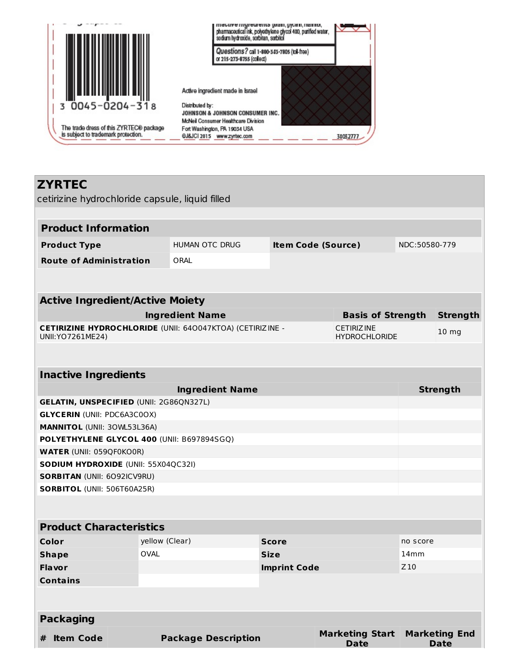

**ZYRTEC**

# cetirizine hydrochloride capsule, liquid filled **Product Information Product Type** HUMAN OTC DRUG **Item Code (Source)** NDC:50580-779 **Route of Administration** ORAL **Active Ingredient/Active Moiety Ingredient Name Basis of Strength Strength CETIRIZINE HYDROCHLORIDE** (UNII: 64O047KTOA) (CETIRIZINE - UNII:YO7261ME24) **CETIRIZINE** HYDROCHLORIDE 10 mg **Inactive Ingredients Ingredient Name Strength GELATIN, UNSPECIFIED** (UNII: 2G86QN327L) **GLYCERIN** (UNII: PDC6A3C0OX) **MANNITOL** (UNII: 3OWL53L36A) **POLYETHYLENE GLYCOL 400** (UNII: B697894SGQ)

**WATER** (UNII: 059QF0KO0R) **SODIUM HYDROXIDE** (UNII: 55X04QC32I) **SORBITAN** (UNII: 6O92ICV9RU) **SORBITOL** (UNII: 506T60A25R)

| <b>Product Characteristics</b> |                            |                     |                                |                              |  |  |  |  |
|--------------------------------|----------------------------|---------------------|--------------------------------|------------------------------|--|--|--|--|
| Color                          | yellow (Clear)             | <b>Score</b>        |                                | no score                     |  |  |  |  |
| <b>Shape</b>                   | <b>OVAL</b>                | <b>Size</b>         |                                | 14 <sub>mm</sub>             |  |  |  |  |
| <b>Flavor</b>                  |                            | <b>Imprint Code</b> |                                | Z <sub>10</sub>              |  |  |  |  |
| <b>Contains</b>                |                            |                     |                                |                              |  |  |  |  |
|                                |                            |                     |                                |                              |  |  |  |  |
|                                |                            |                     |                                |                              |  |  |  |  |
| <b>Packaging</b>               |                            |                     |                                |                              |  |  |  |  |
| <b>Item Code</b><br>#          | <b>Package Description</b> |                     | <b>Marketing Start</b><br>Date | <b>Marketing End</b><br>Date |  |  |  |  |